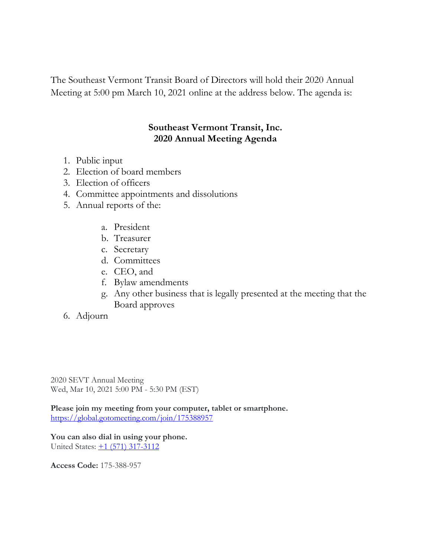The Southeast Vermont Transit Board of Directors will hold their 2020 Annual Meeting at 5:00 pm March 10, 2021 online at the address below. The agenda is:

## **Southeast Vermont Transit, Inc. 2020 Annual Meeting Agenda**

- 1. Public input
- 2. Election of board members
- 3. Election of officers
- 4. Committee appointments and dissolutions
- 5. Annual reports of the:
	- a. President
	- b. Treasurer
	- c. Secretary
	- d. Committees
	- e. CEO, and
	- f. Bylaw amendments
	- g. Any other business that is legally presented at the meeting that the Board approves
- 6. Adjourn

2020 SEVT Annual Meeting Wed, Mar 10, 2021 5:00 PM - 5:30 PM (EST)

**Please join my meeting from your computer, tablet or smartphone.** <https://global.gotomeeting.com/join/175388957>

**You can also dial in using your phone.** United States: [+1 \(571\) 317-3112](tel:+15713173112,,175388957)

**Access Code:** 175-388-957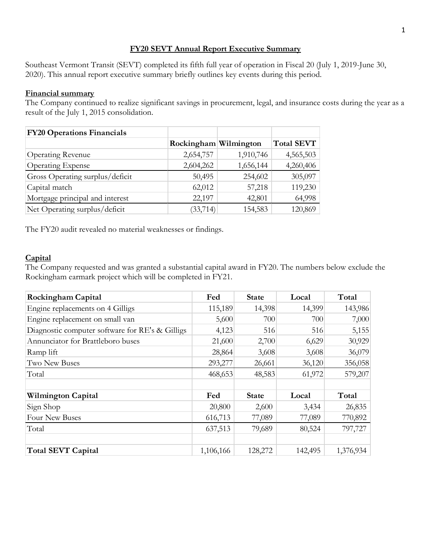### **FY20 SEVT Annual Report Executive Summary**

Southeast Vermont Transit (SEVT) completed its fifth full year of operation in Fiscal 20 (July 1, 2019-June 30, 2020). This annual report executive summary briefly outlines key events during this period.

#### **Financial summary**

The Company continued to realize significant savings in procurement, legal, and insurance costs during the year as a result of the July 1, 2015 consolidation.

| <b>FY20 Operations Financials</b> |                       |           |                   |
|-----------------------------------|-----------------------|-----------|-------------------|
|                                   | Rockingham Wilmington |           | <b>Total SEVT</b> |
| <b>Operating Revenue</b>          | 2,654,757             | 1,910,746 | 4,565,503         |
| <b>Operating Expense</b>          | 2,604,262             | 1,656,144 | 4,260,406         |
| Gross Operating surplus/deficit   | 50,495                | 254,602   | 305,097           |
| Capital match                     | 62,012                | 57,218    | 119,230           |
| Mortgage principal and interest   | 22,197                | 42,801    | 64,998            |
| Net Operating surplus/deficit     | (33, 714)             | 154,583   | 120,869           |

The FY20 audit revealed no material weaknesses or findings.

### **Capital**

The Company requested and was granted a substantial capital award in FY20. The numbers below exclude the Rockingham earmark project which will be completed in FY21.

| <b>Rockingham Capital</b>                       | Fed       | <b>State</b> | Local   | Total     |
|-------------------------------------------------|-----------|--------------|---------|-----------|
| Engine replacements on 4 Gilligs                | 115,189   | 14,398       | 14,399  | 143,986   |
| Engine replacement on small van                 | 5,600     | 700          | 700     | 7,000     |
| Diagnostic computer software for RE's & Gilligs | 4,123     | 516          | 516     | 5,155     |
| Annunciator for Brattleboro buses               | 21,600    | 2,700        | 6,629   | 30,929    |
| Ramp lift                                       | 28,864    | 3,608        | 3,608   | 36,079    |
| <b>Two New Buses</b>                            | 293,277   | 26,661       | 36,120  | 356,058   |
| Total                                           | 468,653   | 48,583       | 61,972  | 579,207   |
|                                                 |           |              |         |           |
| <b>Wilmington Capital</b>                       | Fed       | <b>State</b> | Local   | Total     |
| Sign Shop                                       | 20,800    | 2,600        | 3,434   | 26,835    |
| Four New Buses                                  | 616,713   | 77,089       | 77,089  | 770,892   |
| Total                                           | 637,513   | 79,689       | 80,524  | 797,727   |
|                                                 |           |              |         |           |
| <b>Total SEVT Capital</b>                       | 1,106,166 | 128,272      | 142,495 | 1,376,934 |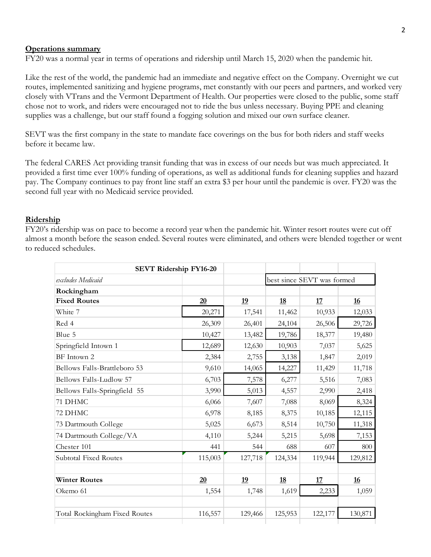#### **Operations summary**

FY20 was a normal year in terms of operations and ridership until March 15, 2020 when the pandemic hit.

Like the rest of the world, the pandemic had an immediate and negative effect on the Company. Overnight we cut routes, implemented sanitizing and hygiene programs, met constantly with our peers and partners, and worked very closely with VTrans and the Vermont Department of Health. Our properties were closed to the public, some staff chose not to work, and riders were encouraged not to ride the bus unless necessary. Buying PPE and cleaning supplies was a challenge, but our staff found a fogging solution and mixed our own surface cleaner.

SEVT was the first company in the state to mandate face coverings on the bus for both riders and staff weeks before it became law.

The federal CARES Act providing transit funding that was in excess of our needs but was much appreciated. It provided a first time ever 100% funding of operations, as well as additional funds for cleaning supplies and hazard pay. The Company continues to pay front line staff an extra \$3 per hour until the pandemic is over. FY20 was the second full year with no Medicaid service provided.

#### **Ridership**

FY20's ridership was on pace to become a record year when the pandemic hit. Winter resort routes were cut off almost a month before the season ended. Several routes were eliminated, and others were blended together or went to reduced schedules.

|                               | <b>SEVT Ridership FY16-20</b> |           |                            |         |           |
|-------------------------------|-------------------------------|-----------|----------------------------|---------|-----------|
| excludes Medicaid             |                               |           | best since SEVT was formed |         |           |
| Rockingham                    |                               |           |                            |         |           |
| <b>Fixed Routes</b>           | 20                            | <u>19</u> | <u>18</u>                  | 17      | <u>16</u> |
| White 7                       | 20,271                        | 17,541    | 11,462                     | 10,933  | 12,033    |
| Red 4                         | 26,309                        | 26,401    | 24,104                     | 26,506  | 29,726    |
| Blue 5                        | 10,427                        | 13,482    | 19,786                     | 18,377  | 19,480    |
| Springfield Intown 1          | 12,689                        | 12,630    | 10,903                     | 7,037   | 5,625     |
| BF Intown 2                   | 2,384                         | 2,755     | 3,138                      | 1,847   | 2,019     |
| Bellows Falls-Brattleboro 53  | 9,610                         | 14,065    | 14,227                     | 11,429  | 11,718    |
| Bellows Falls-Ludlow 57       | 6,703                         | 7,578     | 6,277                      | 5,516   | 7,083     |
| Bellows Falls-Springfield 55  | 3,990                         | 5,013     | 4,557                      | 2,990   | 2,418     |
| 71 DHMC                       | 6,066                         | 7,607     | 7,088                      | 8,069   | 8,324     |
| 72 DHMC                       | 6,978                         | 8,185     | 8,375                      | 10,185  | 12,115    |
| 73 Dartmouth College          | 5,025                         | 6,673     | 8,514                      | 10,750  | 11,318    |
| 74 Dartmouth College/VA       | 4,110                         | 5,244     | 5,215                      | 5,698   | 7,153     |
| Chester 101                   | 441                           | 544       | 688                        | 607     | 800       |
| <b>Subtotal Fixed Routes</b>  | 115,003                       | 127,718   | 124,334                    | 119,944 | 129,812   |
|                               |                               |           |                            |         |           |
| <b>Winter Routes</b>          | 20                            | <u>19</u> | <u>18</u>                  | 17      | <u>16</u> |
| Okemo 61                      | 1,554                         | 1,748     | 1,619                      | 2,233   | 1,059     |
|                               |                               |           |                            |         |           |
| Total Rockingham Fixed Routes | 116,557                       | 129,466   | 125,953                    | 122,177 | 130,871   |
|                               |                               |           |                            |         |           |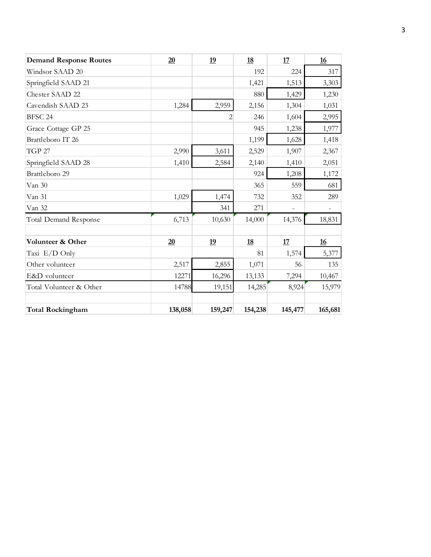| <b>Demand Response Routes</b> | 20      | 19             | 18        | 17             | 16                       |
|-------------------------------|---------|----------------|-----------|----------------|--------------------------|
| Windsor SAAD 20               |         |                | 192       | 224            | 317                      |
| Springfield SAAD 21           |         |                | 1,421     | 1,513          | 3,303                    |
| Chester SAAD 22               |         |                | 880       | 1,429          | 1,230                    |
| Cavendish SAAD 23             | 1,284   | 2,959          | 2,156     | 1,304          | 1,031                    |
| BFSC 24                       |         | $\overline{2}$ | 246       | 1,604          | 2,995                    |
| Grace Cottage GP 25           |         |                | 945       | 1,238          | 1,977                    |
| Brattleboro IT 26             |         |                | 1,199     | 1,628          | 1,418                    |
| <b>TGP 27</b>                 | 2,990   | 3,611          | 2,529     | 1,907          | 2,367                    |
| Springfield SAAD 28           | 1,410   | 2,584          | 2,140     | 1,410          | 2,051                    |
| Brattleboro 29                |         |                | 924       | 1,208          | 1,172                    |
| Van 30                        |         |                | 365       | 559            | 681                      |
| Van 31                        | 1,029   | 1,474          | 732       | 352            | 289                      |
| Van 32                        |         | 341            | 271       | $\overline{a}$ | $\overline{\phantom{a}}$ |
| <b>Total Demand Response</b>  | 6,713   | 10,630         | 14,000    | 14,376         | 18,831                   |
|                               |         |                |           |                |                          |
| Volunteer & Other             | 20      | <u>19</u>      | <u>18</u> | <u>17</u>      | <u>16</u>                |
| Taxi E/D Only                 |         |                | 81        | 1,574          | 5,377                    |
| Other volunteer               | 2,517   | 2,855          | 1,071     | 56             | 135                      |
| E&D volunteer                 | 12271   | 16,296         | 13,133    | 7,294          | 10,467                   |
| Total Volunteer & Other       | 14788   | 19,151         | 14,285    | 8,924          | 15,979                   |
|                               |         |                |           |                |                          |
| <b>Total Rockingham</b>       | 138,058 | 159,247        | 154,238   | 145,477        | 165,681                  |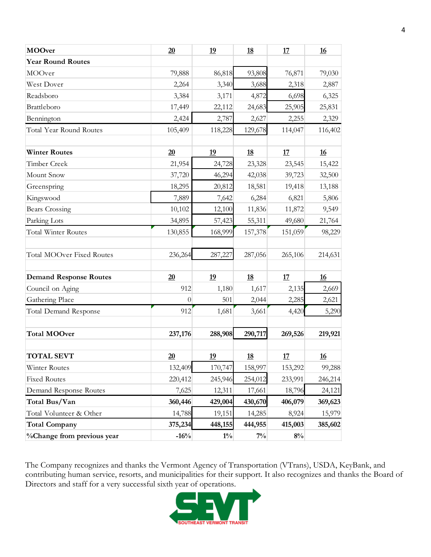| <b>MOOver</b>                    | 20       | 19        | <u>18</u> | 17      | 16        |
|----------------------------------|----------|-----------|-----------|---------|-----------|
| <b>Year Round Routes</b>         |          |           |           |         |           |
| MOOver                           | 79,888   | 86,818    | 93,808    | 76,871  | 79,030    |
| West Dover                       | 2,264    | 3,340     | 3,688     | 2,318   | 2,887     |
| Readsboro                        | 3,384    | 3,171     | 4,872     | 6,698   | 6,325     |
| Brattleboro                      | 17,449   | 22,112    | 24,683    | 25,905  | 25,831    |
| Bennington                       | 2,424    | 2,787     | 2,627     | 2,255   | 2,329     |
| Total Year Round Routes          | 105,409  | 118,228   | 129,678   | 114,047 | 116,402   |
| <b>Winter Routes</b>             | 20       | 19        | <u>18</u> | 17      | 16        |
| Timber Creek                     | 21,954   | 24,728    | 23,328    | 23,545  | 15,422    |
| Mount Snow                       | 37,720   | 46,294    | 42,038    | 39,723  | 32,500    |
| Greenspring                      | 18,295   | 20,812    | 18,581    | 19,418  | 13,188    |
| Kingswood                        | 7,889    | 7,642     | 6,284     | 6,821   | 5,806     |
| <b>Bears Crossing</b>            | 10,102   | 12,100    | 11,836    | 11,872  | 9,549     |
| Parking Lots                     | 34,895   | 57,423    | 55,311    | 49,680  | 21,764    |
| Total Winter Routes              | 130,855  | 168,999   | 157,378   | 151,059 | 98,229    |
| <b>Total MOOver Fixed Routes</b> | 236,264  | 287,227   | 287,056   | 265,106 | 214,631   |
| <b>Demand Response Routes</b>    | 20       | <u>19</u> | <u>18</u> | 17      | 16        |
| Council on Aging                 | 912      | 1,180     | 1,617     | 2,135   | 2,669     |
| Gathering Place                  | $\theta$ | 501       | 2,044     | 2,285   | 2,621     |
| <b>Total Demand Response</b>     | 912      | 1,681     | 3,661     | 4,420   | 5,290     |
| <b>Total MOOver</b>              | 237,176  | 288,908   | 290,717   | 269,526 | 219,921   |
| <b>TOTAL SEVT</b>                | 20       | <u>19</u> | <u>18</u> | 17      | <u>16</u> |
| Winter Routes                    | 132,409  | 170,747   | 158,997   | 153,292 | 99,288    |
| <b>Fixed Routes</b>              | 220,412  | 245,946   | 254,012   | 233,991 | 246,214   |
| Demand Response Routes           | 7,625    | 12,311    | 17,661    | 18,796  | 24,121    |
| Total Bus/Van                    | 360,446  | 429,004   | 430,670   | 406,079 | 369,623   |
| Total Volunteer & Other          | 14,788   | 19,151    | 14,285    | 8,924   | 15,979    |
| <b>Total Company</b>             | 375,234  | 448,155   | 444,955   | 415,003 | 385,602   |
| %Change from previous year       | $-16%$   | $1\%$     | $7\%$     | $8\%$   |           |

The Company recognizes and thanks the Vermont Agency of Transportation (VTrans), USDA, KeyBank, and contributing human service, resorts, and municipalities for their support. It also recognizes and thanks the Board of Directors and staff for a very successful sixth year of operations.

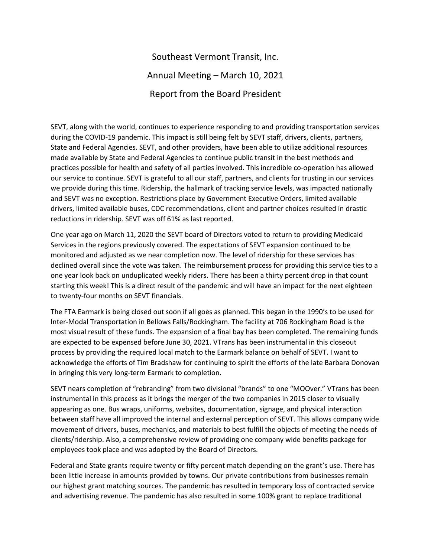# Southeast Vermont Transit, Inc. Annual Meeting – March 10, 2021 Report from the Board President

SEVT, along with the world, continues to experience responding to and providing transportation services during the COVID-19 pandemic. This impact is still being felt by SEVT staff, drivers, clients, partners, State and Federal Agencies. SEVT, and other providers, have been able to utilize additional resources made available by State and Federal Agencies to continue public transit in the best methods and practices possible for health and safety of all parties involved. This incredible co-operation has allowed our service to continue. SEVT is grateful to all our staff, partners, and clients for trusting in our services we provide during this time. Ridership, the hallmark of tracking service levels, was impacted nationally and SEVT was no exception. Restrictions place by Government Executive Orders, limited available drivers, limited available buses, CDC recommendations, client and partner choices resulted in drastic reductions in ridership. SEVT was off 61% as last reported.

One year ago on March 11, 2020 the SEVT board of Directors voted to return to providing Medicaid Services in the regions previously covered. The expectations of SEVT expansion continued to be monitored and adjusted as we near completion now. The level of ridership for these services has declined overall since the vote was taken. The reimbursement process for providing this service ties to a one year look back on unduplicated weekly riders. There has been a thirty percent drop in that count starting this week! This is a direct result of the pandemic and will have an impact for the next eighteen to twenty-four months on SEVT financials.

The FTA Earmark is being closed out soon if all goes as planned. This began in the 1990's to be used for Inter-Modal Transportation in Bellows Falls/Rockingham. The facility at 706 Rockingham Road is the most visual result of these funds. The expansion of a final bay has been completed. The remaining funds are expected to be expensed before June 30, 2021. VTrans has been instrumental in this closeout process by providing the required local match to the Earmark balance on behalf of SEVT. I want to acknowledge the efforts of Tim Bradshaw for continuing to spirit the efforts of the late Barbara Donovan in bringing this very long-term Earmark to completion.

SEVT nears completion of "rebranding" from two divisional "brands" to one "MOOver." VTrans has been instrumental in this process as it brings the merger of the two companies in 2015 closer to visually appearing as one. Bus wraps, uniforms, websites, documentation, signage, and physical interaction between staff have all improved the internal and external perception of SEVT. This allows company wide movement of drivers, buses, mechanics, and materials to best fulfill the objects of meeting the needs of clients/ridership. Also, a comprehensive review of providing one company wide benefits package for employees took place and was adopted by the Board of Directors.

Federal and State grants require twenty or fifty percent match depending on the grant's use. There has been little increase in amounts provided by towns. Our private contributions from businesses remain our highest grant matching sources. The pandemic has resulted in temporary loss of contracted service and advertising revenue. The pandemic has also resulted in some 100% grant to replace traditional